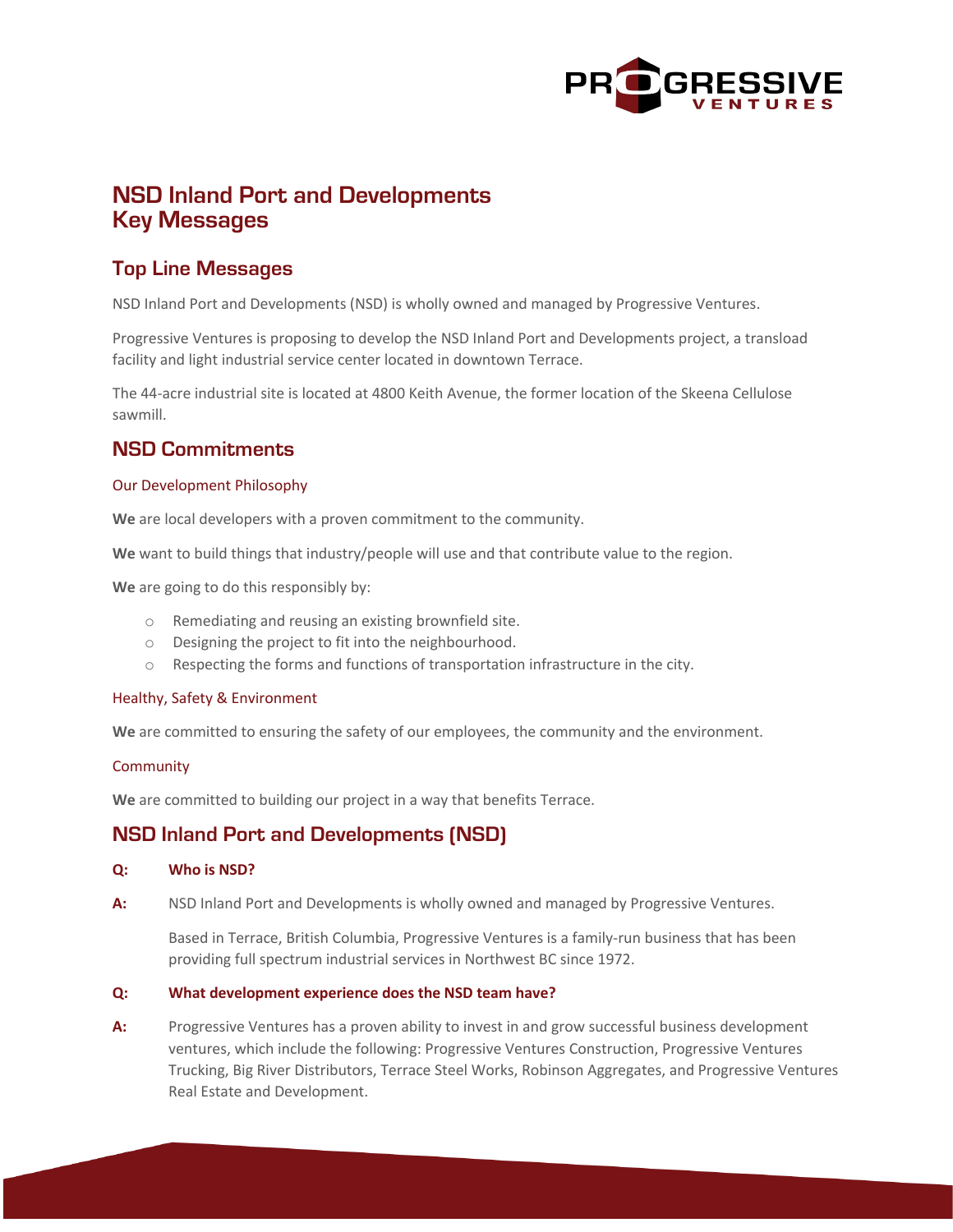

# **NSD Inland Port and Developments Key Messages**

## **Top Line Messages**

NSD Inland Port and Developments (NSD) is wholly owned and managed by Progressive Ventures.

Progressive Ventures is proposing to develop the NSD Inland Port and Developments project, a transload facility and light industrial service center located in downtown Terrace.

The 44-acre industrial site is located at 4800 Keith Avenue, the former location of the Skeena Cellulose sawmill.

## **NSD Commitments**

#### Our Development Philosophy

**We** are local developers with a proven commitment to the community.

**We** want to build things that industry/people will use and that contribute value to the region.

**We** are going to do this responsibly by:

- o Remediating and reusing an existing brownfield site.
- o Designing the project to fit into the neighbourhood.
- o Respecting the forms and functions of transportation infrastructure in the city.

#### Healthy, Safety & Environment

**We** are committed to ensuring the safety of our employees, the community and the environment.

#### **Community**

**We** are committed to building our project in a way that benefits Terrace.

### **NSD Inland Port and Developments (NSD)**

#### **Q: Who is NSD?**

**A:** NSD Inland Port and Developments is wholly owned and managed by Progressive Ventures.

Based in Terrace, British Columbia, Progressive Ventures is a family-run business that has been providing full spectrum industrial services in Northwest BC since 1972.

#### **Q: What development experience does the NSD team have?**

**A:** Progressive Ventures has a proven ability to invest in and grow successful business development ventures, which include the following: Progressive Ventures Construction, Progressive Ventures Trucking, Big River Distributors, Terrace Steel Works, Robinson Aggregates, and Progressive Ventures Real Estate and Development.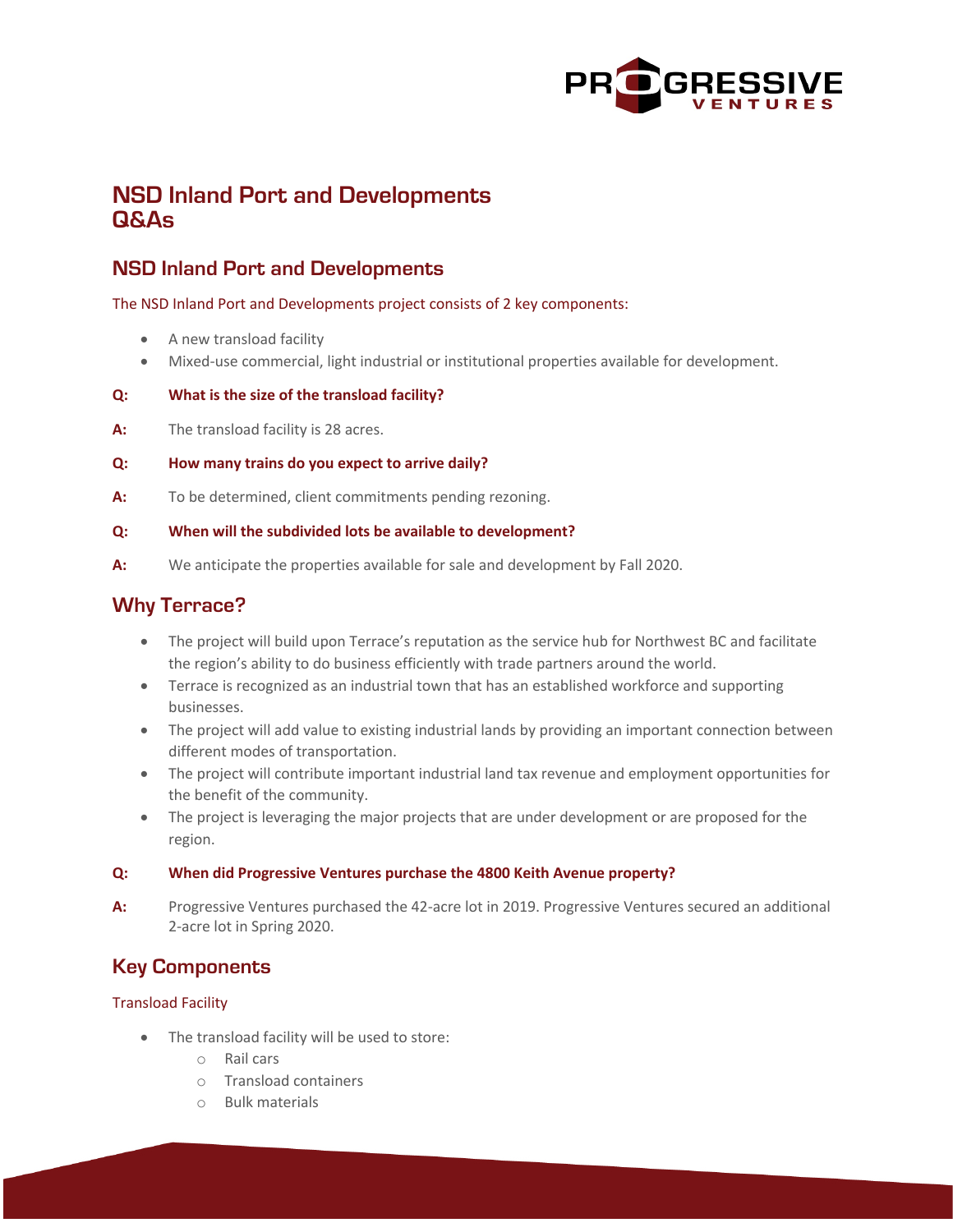

# **NSD Inland Port and Developments Q&As**

## **NSD Inland Port and Developments**

The NSD Inland Port and Developments project consists of 2 key components:

- A new transload facility
- Mixed-use commercial, light industrial or institutional properties available for development.

#### **Q: What is the size of the transload facility?**

**A:** The transload facility is 28 acres.

#### **Q: How many trains do you expect to arrive daily?**

**A:** To be determined, client commitments pending rezoning.

#### **Q: When will the subdivided lots be available to development?**

**A:** We anticipate the properties available for sale and development by Fall 2020.

### **Why Terrace?**

- The project will build upon Terrace's reputation as the service hub for Northwest BC and facilitate the region's ability to do business efficiently with trade partners around the world.
- Terrace is recognized as an industrial town that has an established workforce and supporting businesses.
- The project will add value to existing industrial lands by providing an important connection between different modes of transportation.
- The project will contribute important industrial land tax revenue and employment opportunities for the benefit of the community.
- The project is leveraging the major projects that are under development or are proposed for the region.

#### **Q: When did Progressive Ventures purchase the 4800 Keith Avenue property?**

**A:** Progressive Ventures purchased the 42-acre lot in 2019. Progressive Ventures secured an additional 2-acre lot in Spring 2020.

## **Key Components**

#### Transload Facility

- The transload facility will be used to store:
	- o Rail cars
	- o Transload containers
	- o Bulk materials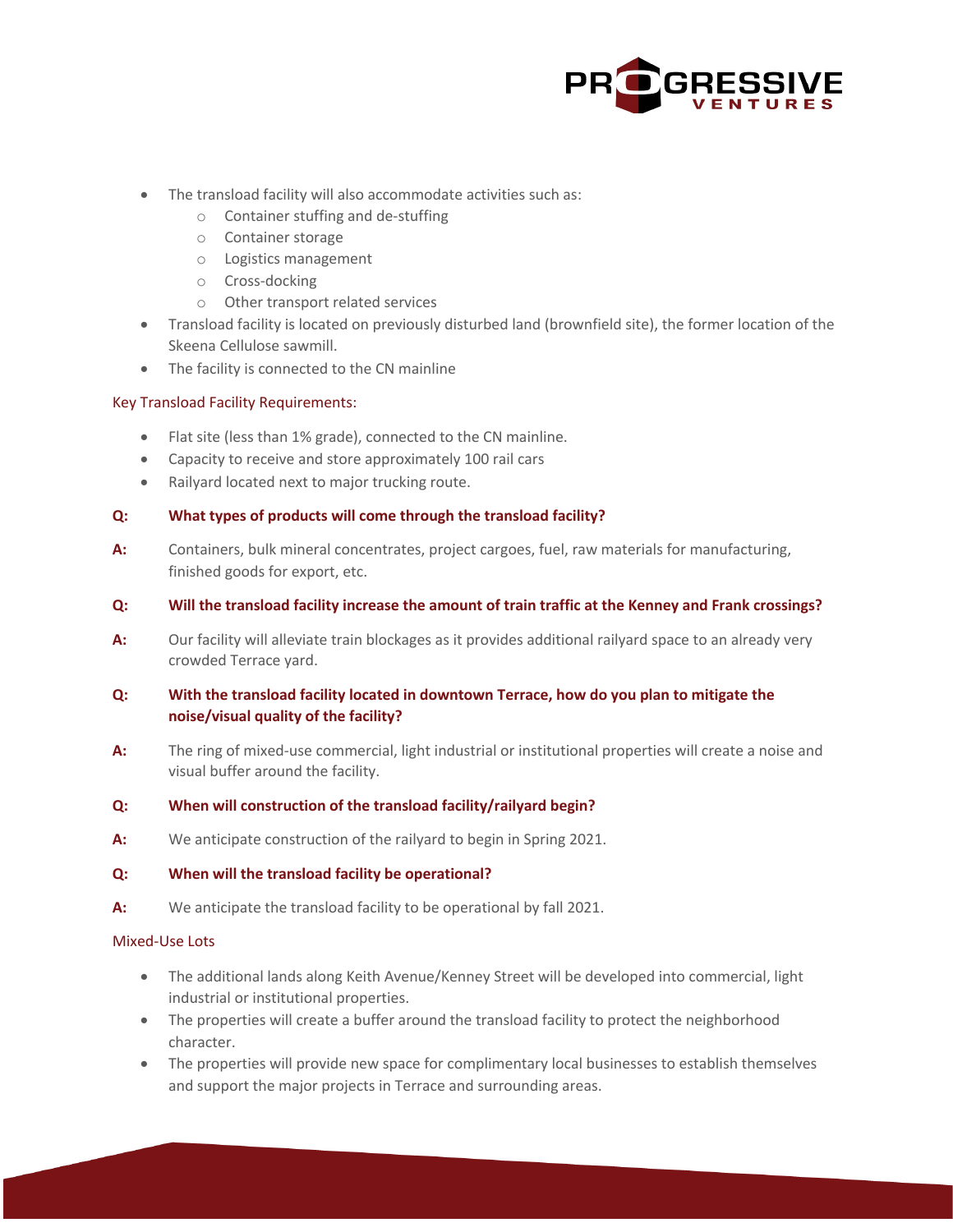

- The transload facility will also accommodate activities such as:
	- o Container stuffing and de-stuffing
	- o Container storage
	- o Logistics management
	- o Cross-docking
	- o Other transport related services
- Transload facility is located on previously disturbed land (brownfield site), the former location of the Skeena Cellulose sawmill.
- The facility is connected to the CN mainline

#### Key Transload Facility Requirements:

- Flat site (less than 1% grade), connected to the CN mainline.
- Capacity to receive and store approximately 100 rail cars
- Railyard located next to major trucking route.

#### **Q: What types of products will come through the transload facility?**

- **A:** Containers, bulk mineral concentrates, project cargoes, fuel, raw materials for manufacturing, finished goods for export, etc.
- **Q: Will the transload facility increase the amount of train traffic at the Kenney and Frank crossings?**
- **A:** Our facility will alleviate train blockages as it provides additional railyard space to an already very crowded Terrace yard.

#### **Q: With the transload facility located in downtown Terrace, how do you plan to mitigate the noise/visual quality of the facility?**

**A:** The ring of mixed-use commercial, light industrial or institutional properties will create a noise and visual buffer around the facility.

#### **Q: When will construction of the transload facility/railyard begin?**

**A:** We anticipate construction of the railyard to begin in Spring 2021.

#### **Q: When will the transload facility be operational?**

**A:** We anticipate the transload facility to be operational by fall 2021.

#### Mixed-Use Lots

- The additional lands along Keith Avenue/Kenney Street will be developed into commercial, light industrial or institutional properties.
- The properties will create a buffer around the transload facility to protect the neighborhood character.
- The properties will provide new space for complimentary local businesses to establish themselves and support the major projects in Terrace and surrounding areas.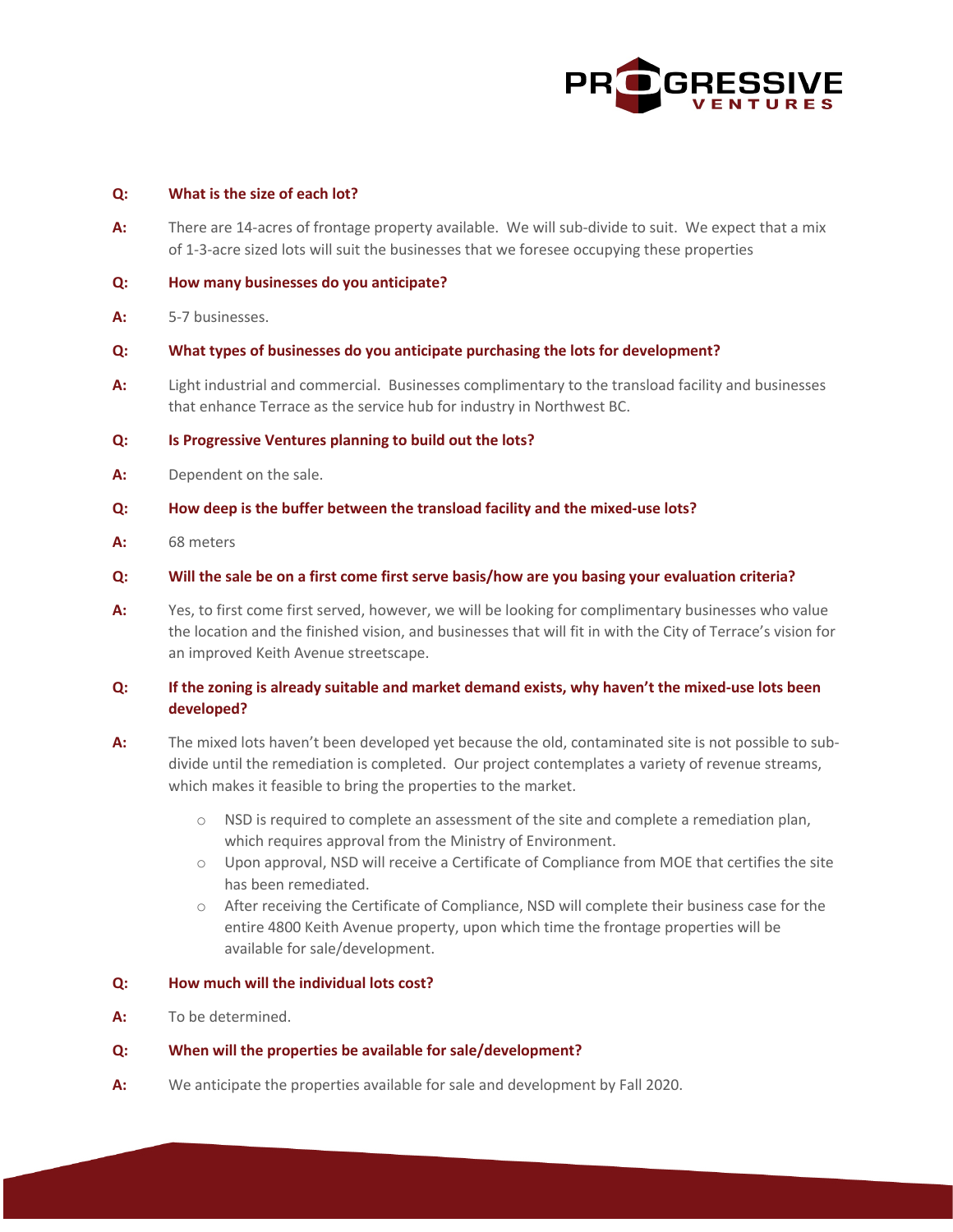

#### **Q: What is the size of each lot?**

- **A:** There are 14-acres of frontage property available. We will sub-divide to suit. We expect that a mix of 1-3-acre sized lots will suit the businesses that we foresee occupying these properties
- **Q: How many businesses do you anticipate?**
- **A:** 5-7 businesses.
- **Q: What types of businesses do you anticipate purchasing the lots for development?**
- **A:** Light industrial and commercial. Businesses complimentary to the transload facility and businesses that enhance Terrace as the service hub for industry in Northwest BC.

#### **Q: Is Progressive Ventures planning to build out the lots?**

- **A:** Dependent on the sale.
- **Q: How deep is the buffer between the transload facility and the mixed-use lots?**
- **A:** 68 meters
- **Q: Will the sale be on a first come first serve basis/how are you basing your evaluation criteria?**
- **A:** Yes, to first come first served, however, we will be looking for complimentary businesses who value the location and the finished vision, and businesses that will fit in with the City of Terrace's vision for an improved Keith Avenue streetscape.

#### **Q: If the zoning is already suitable and market demand exists, why haven't the mixed-use lots been developed?**

- **A:** The mixed lots haven't been developed yet because the old, contaminated site is not possible to subdivide until the remediation is completed. Our project contemplates a variety of revenue streams, which makes it feasible to bring the properties to the market.
	- o NSD is required to complete an assessment of the site and complete a remediation plan, which requires approval from the Ministry of Environment.
	- o Upon approval, NSD will receive a Certificate of Compliance from MOE that certifies the site has been remediated.
	- o After receiving the Certificate of Compliance, NSD will complete their business case for the entire 4800 Keith Avenue property, upon which time the frontage properties will be available for sale/development.

#### **Q: How much will the individual lots cost?**

**A:** To be determined.

#### **Q: When will the properties be available for sale/development?**

**A:** We anticipate the properties available for sale and development by Fall 2020.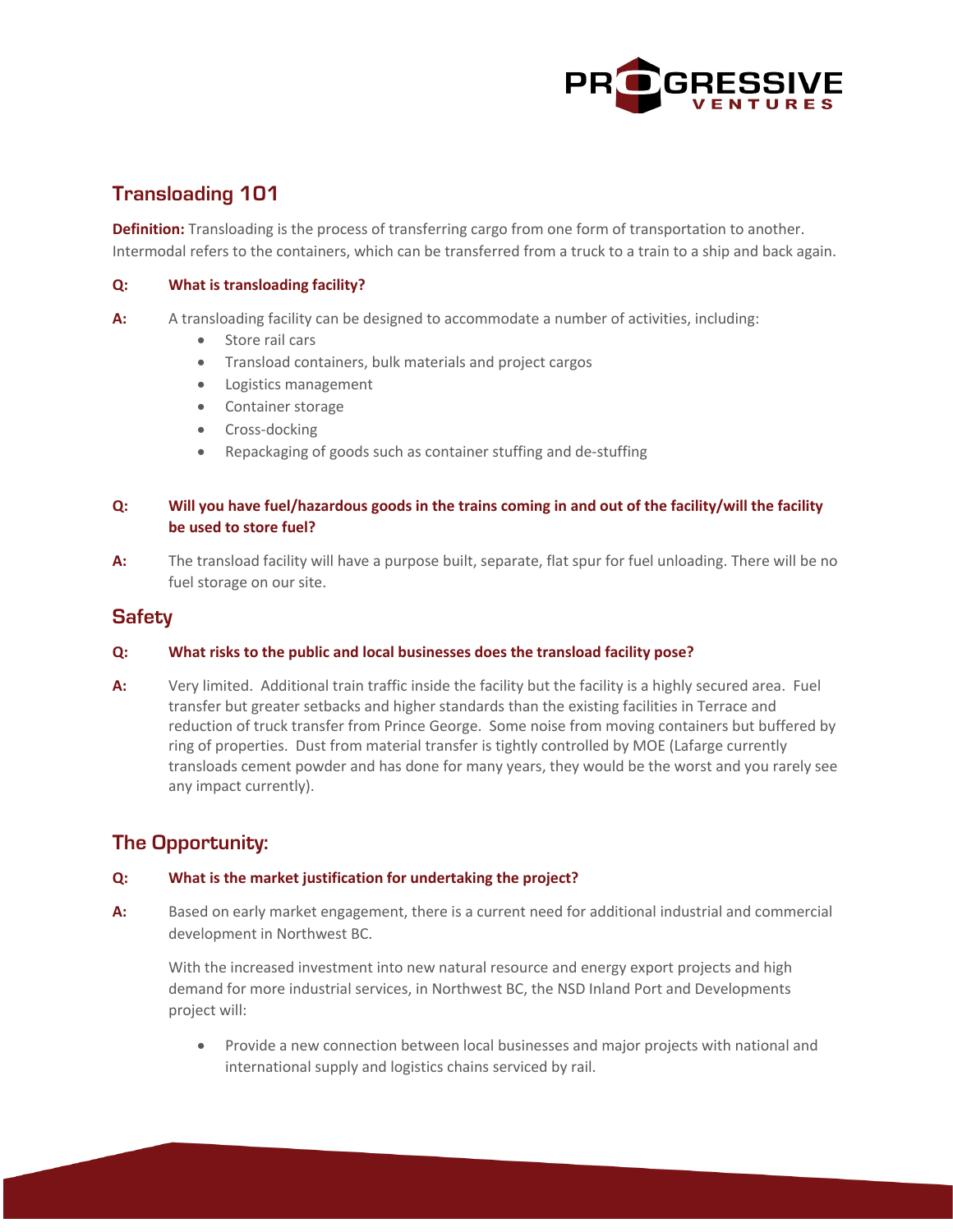

## **Transloading 101**

**Definition:** Transloading is the process of transferring cargo from one form of transportation to another. Intermodal refers to the containers, which can be transferred from a truck to a train to a ship and back again.

#### **Q: What is transloading facility?**

- **A:** A transloading facility can be designed to accommodate a number of activities, including:
	- Store rail cars
	- Transload containers, bulk materials and project cargos
	- Logistics management
	- Container storage
	- Cross-docking
	- Repackaging of goods such as container stuffing and de-stuffing

#### **Q: Will you have fuel/hazardous goods in the trains coming in and out of the facility/will the facility be used to store fuel?**

**A:** The transload facility will have a purpose built, separate, flat spur for fuel unloading. There will be no fuel storage on our site.

### **Safety**

#### **Q: What risks to the public and local businesses does the transload facility pose?**

**A:** Very limited. Additional train traffic inside the facility but the facility is a highly secured area. Fuel transfer but greater setbacks and higher standards than the existing facilities in Terrace and reduction of truck transfer from Prince George. Some noise from moving containers but buffered by ring of properties. Dust from material transfer is tightly controlled by MOE (Lafarge currently transloads cement powder and has done for many years, they would be the worst and you rarely see any impact currently).

## **The Opportunity:**

#### **Q: What is the market justification for undertaking the project?**

**A:** Based on early market engagement, there is a current need for additional industrial and commercial development in Northwest BC.

With the increased investment into new natural resource and energy export projects and high demand for more industrial services, in Northwest BC, the NSD Inland Port and Developments project will:

• Provide a new connection between local businesses and major projects with national and international supply and logistics chains serviced by rail.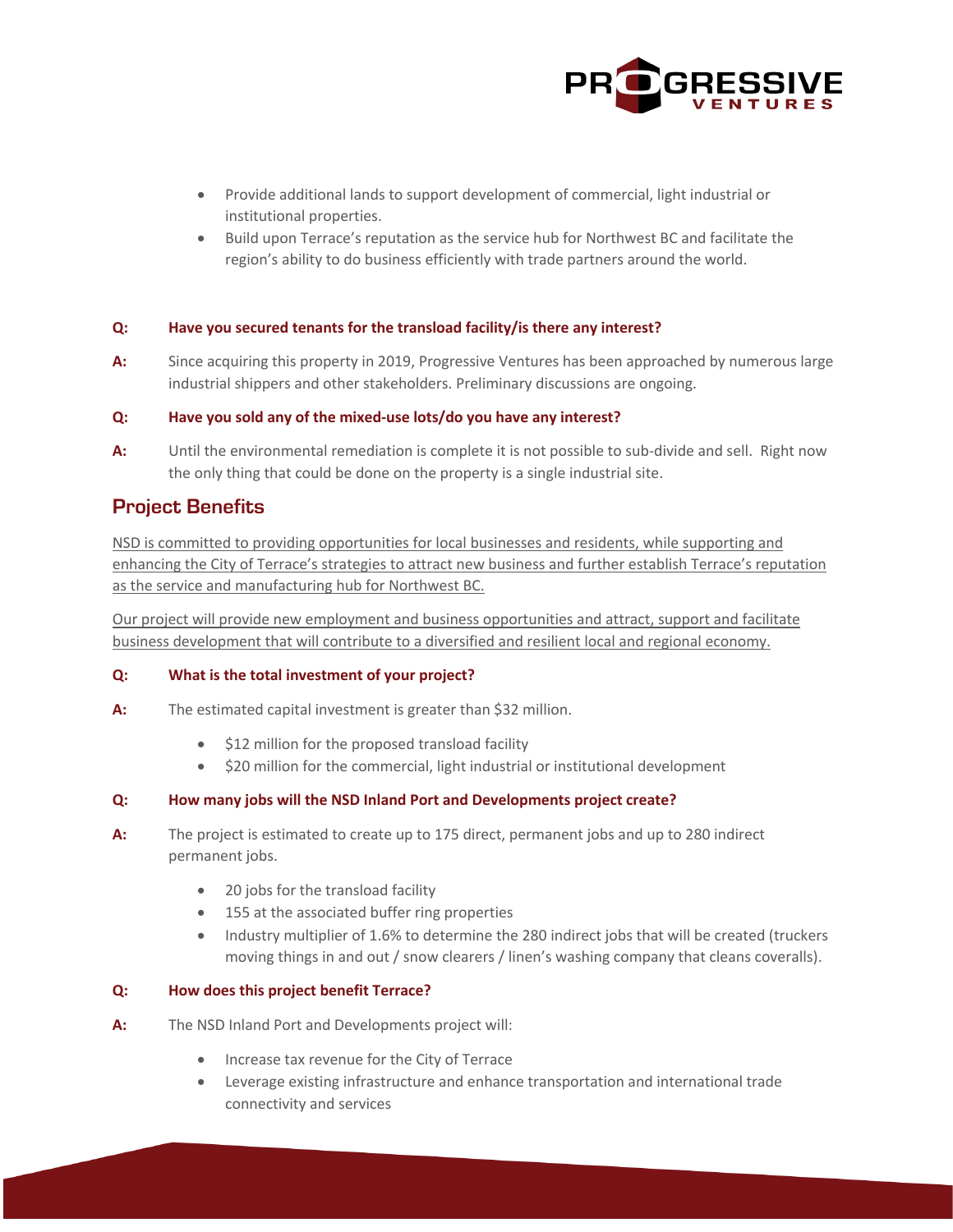

- Provide additional lands to support development of commercial, light industrial or institutional properties.
- Build upon Terrace's reputation as the service hub for Northwest BC and facilitate the region's ability to do business efficiently with trade partners around the world.

#### **Q: Have you secured tenants for the transload facility/is there any interest?**

**A:** Since acquiring this property in 2019, Progressive Ventures has been approached by numerous large industrial shippers and other stakeholders. Preliminary discussions are ongoing.

#### **Q: Have you sold any of the mixed-use lots/do you have any interest?**

**A:** Until the environmental remediation is complete it is not possible to sub-divide and sell. Right now the only thing that could be done on the property is a single industrial site.

### **Project Benefits**

NSD is committed to providing opportunities for local businesses and residents, while supporting and enhancing the City of Terrace's strategies to attract new business and further establish Terrace's reputation as the service and manufacturing hub for Northwest BC.

Our project will provide new employment and business opportunities and attract, support and facilitate business development that will contribute to a diversified and resilient local and regional economy.

#### **Q: What is the total investment of your project?**

- **A:** The estimated capital investment is greater than \$32 million.
	- \$12 million for the proposed transload facility
	- \$20 million for the commercial, light industrial or institutional development

#### **Q: How many jobs will the NSD Inland Port and Developments project create?**

- **A:** The project is estimated to create up to 175 direct, permanent jobs and up to 280 indirect permanent jobs.
	- 20 jobs for the transload facility
	- 155 at the associated buffer ring properties
	- Industry multiplier of 1.6% to determine the 280 indirect jobs that will be created (truckers moving things in and out / snow clearers / linen's washing company that cleans coveralls).

#### **Q: How does this project benefit Terrace?**

- **A:** The NSD Inland Port and Developments project will:
	- Increase tax revenue for the City of Terrace
	- Leverage existing infrastructure and enhance transportation and international trade connectivity and services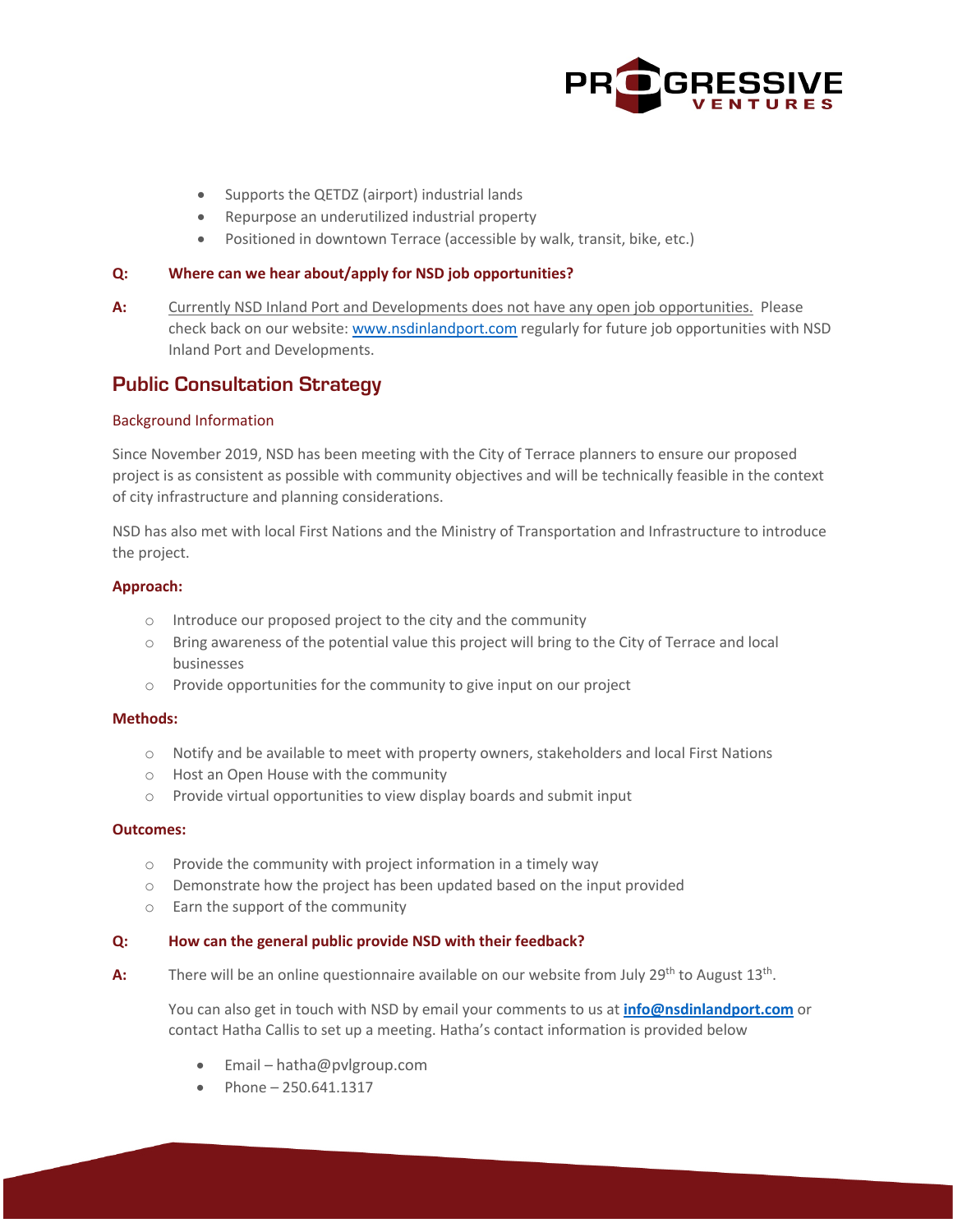

- Supports the QETDZ (airport) industrial lands
- Repurpose an underutilized industrial property
- Positioned in downtown Terrace (accessible by walk, transit, bike, etc.)

#### **Q: Where can we hear about/apply for NSD job opportunities?**

**A:** Currently NSD Inland Port and Developments does not have any open job opportunities. Please check back on our website: www.nsdinlandport.com regularly for future job opportunities with NSD Inland Port and Developments.

### **Public Consultation Strategy**

#### Background Information

Since November 2019, NSD has been meeting with the City of Terrace planners to ensure our proposed project is as consistent as possible with community objectives and will be technically feasible in the context of city infrastructure and planning considerations.

NSD has also met with local First Nations and the Ministry of Transportation and Infrastructure to introduce the project.

#### **Approach:**

- o Introduce our proposed project to the city and the community
- o Bring awareness of the potential value this project will bring to the City of Terrace and local businesses
- o Provide opportunities for the community to give input on our project

#### **Methods:**

- o Notify and be available to meet with property owners, stakeholders and local First Nations
- o Host an Open House with the community
- o Provide virtual opportunities to view display boards and submit input

#### **Outcomes:**

- o Provide the community with project information in a timely way
- o Demonstrate how the project has been updated based on the input provided
- o Earn the support of the community

#### **Q: How can the general public provide NSD with their feedback?**

A: There will be an online questionnaire available on our website from July 29<sup>th</sup> to August 13<sup>th</sup>.

You can also get in touch with NSD by email your comments to us at **info@nsdinlandport.com** or contact Hatha Callis to set up a meeting. Hatha's contact information is provided below

- Email hatha@pvlgroup.com
- Phone 250.641.1317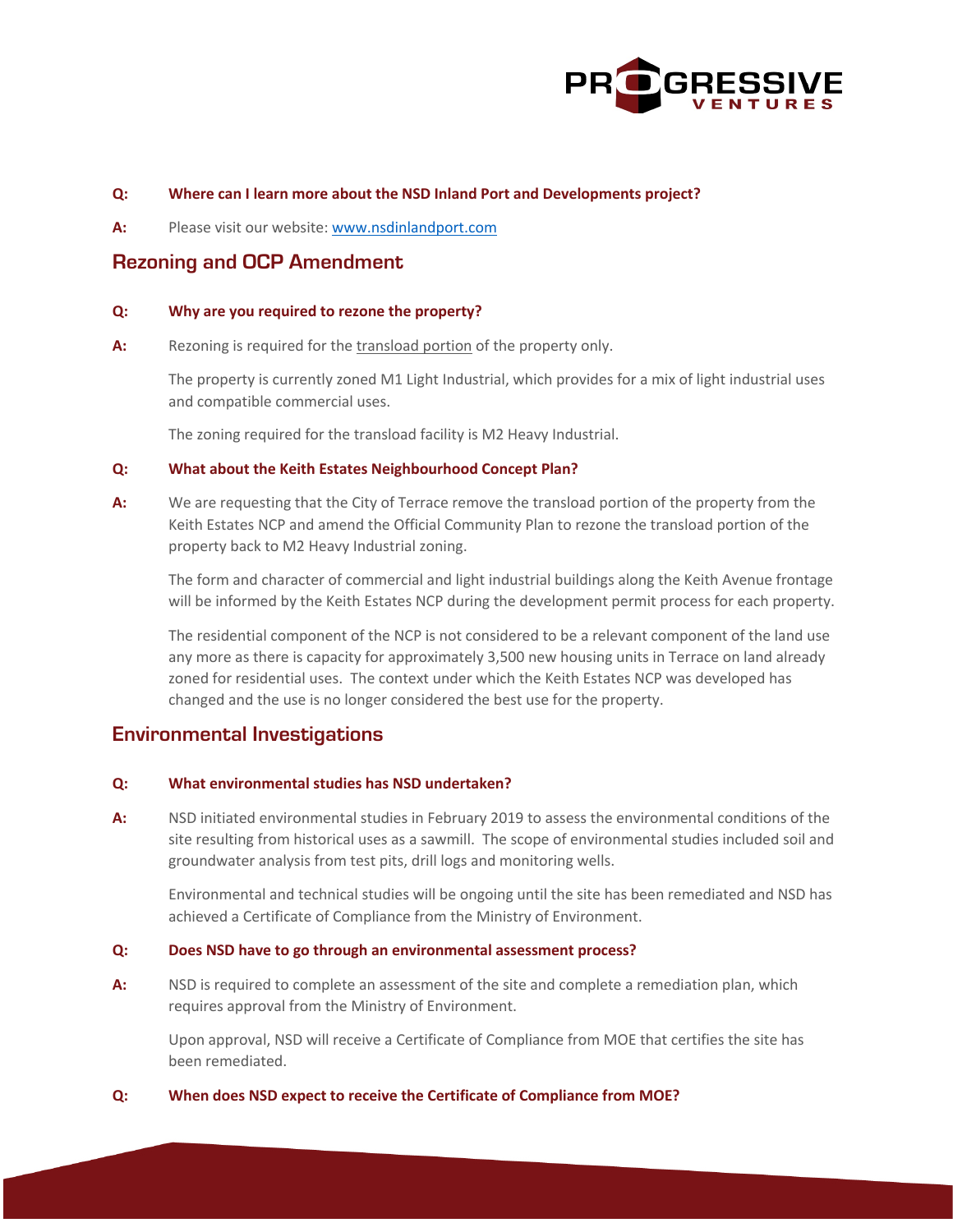

#### **Q: Where can I learn more about the NSD Inland Port and Developments project?**

**A:** Please visit our website: www.nsdinlandport.com

### **Rezoning and OCP Amendment**

#### **Q: Why are you required to rezone the property?**

**A:** Rezoning is required for the transload portion of the property only.

The property is currently zoned M1 Light Industrial, which provides for a mix of light industrial uses and compatible commercial uses.

The zoning required for the transload facility is M2 Heavy Industrial.

#### **Q: What about the Keith Estates Neighbourhood Concept Plan?**

**A:** We are requesting that the City of Terrace remove the transload portion of the property from the Keith Estates NCP and amend the Official Community Plan to rezone the transload portion of the property back to M2 Heavy Industrial zoning.

The form and character of commercial and light industrial buildings along the Keith Avenue frontage will be informed by the Keith Estates NCP during the development permit process for each property.

The residential component of the NCP is not considered to be a relevant component of the land use any more as there is capacity for approximately 3,500 new housing units in Terrace on land already zoned for residential uses. The context under which the Keith Estates NCP was developed has changed and the use is no longer considered the best use for the property.

### **Environmental Investigations**

#### **Q: What environmental studies has NSD undertaken?**

**A:** NSD initiated environmental studies in February 2019 to assess the environmental conditions of the site resulting from historical uses as a sawmill. The scope of environmental studies included soil and groundwater analysis from test pits, drill logs and monitoring wells.

Environmental and technical studies will be ongoing until the site has been remediated and NSD has achieved a Certificate of Compliance from the Ministry of Environment.

#### **Q: Does NSD have to go through an environmental assessment process?**

**A:** NSD is required to complete an assessment of the site and complete a remediation plan, which requires approval from the Ministry of Environment.

Upon approval, NSD will receive a Certificate of Compliance from MOE that certifies the site has been remediated.

#### **Q: When does NSD expect to receive the Certificate of Compliance from MOE?**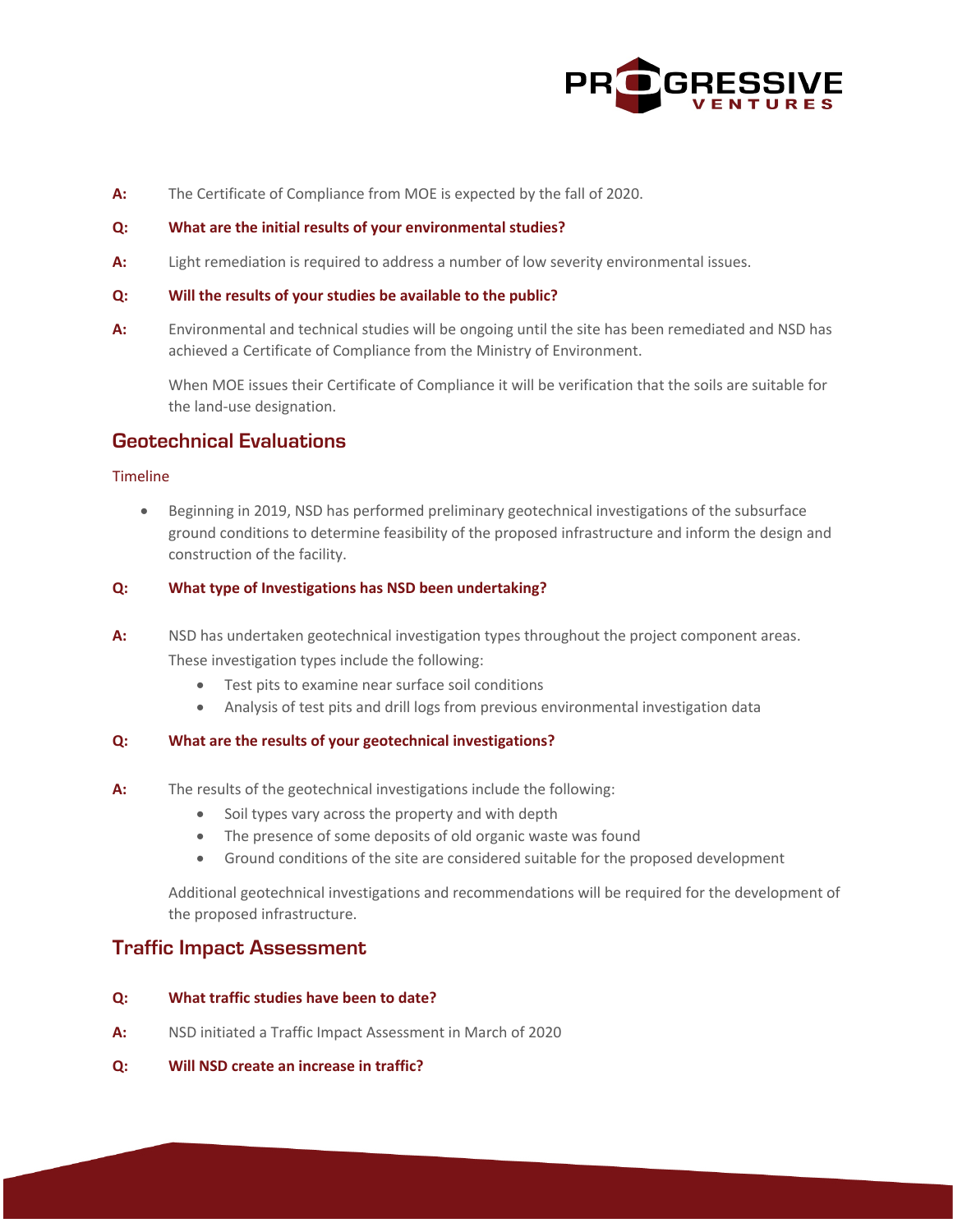

**A:** The Certificate of Compliance from MOE is expected by the fall of 2020.

#### **Q: What are the initial results of your environmental studies?**

**A:** Light remediation is required to address a number of low severity environmental issues.

#### **Q: Will the results of your studies be available to the public?**

**A:** Environmental and technical studies will be ongoing until the site has been remediated and NSD has achieved a Certificate of Compliance from the Ministry of Environment.

When MOE issues their Certificate of Compliance it will be verification that the soils are suitable for the land-use designation.

### **Geotechnical Evaluations**

#### Timeline

• Beginning in 2019, NSD has performed preliminary geotechnical investigations of the subsurface ground conditions to determine feasibility of the proposed infrastructure and inform the design and construction of the facility.

#### **Q: What type of Investigations has NSD been undertaking?**

- **A:** NSD has undertaken geotechnical investigation types throughout the project component areas. These investigation types include the following:
	- Test pits to examine near surface soil conditions
	- Analysis of test pits and drill logs from previous environmental investigation data

#### **Q: What are the results of your geotechnical investigations?**

- **A:** The results of the geotechnical investigations include the following:
	- Soil types vary across the property and with depth
	- The presence of some deposits of old organic waste was found
	- Ground conditions of the site are considered suitable for the proposed development

Additional geotechnical investigations and recommendations will be required for the development of the proposed infrastructure.

## **Traffic Impact Assessment**

#### **Q: What traffic studies have been to date?**

- **A:** NSD initiated a Traffic Impact Assessment in March of 2020
- **Q: Will NSD create an increase in traffic?**